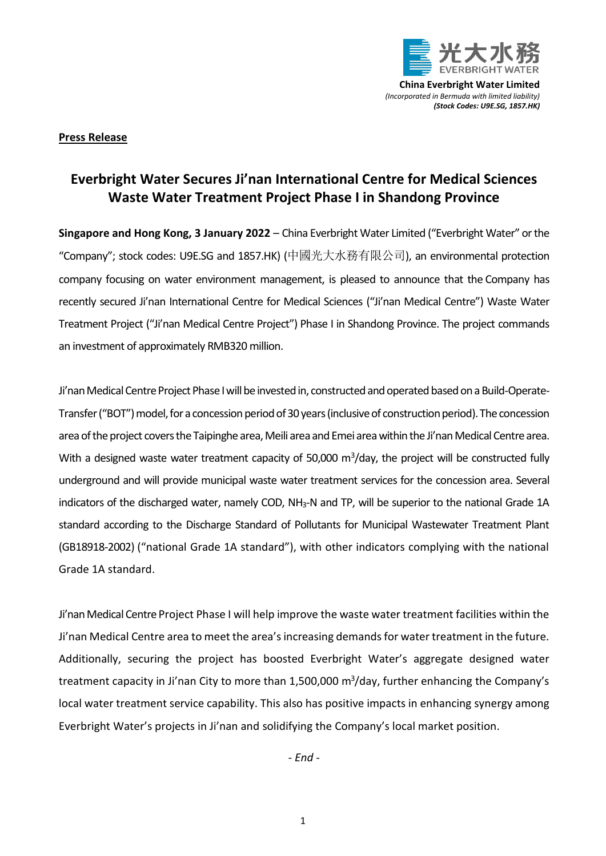

**China Everbright Water Limited** *(Incorporated in Bermuda with limited liability) (Stock Codes: U9E.SG, 1857.HK)*

## **Press Release**

## **Everbright Water Secures Ji'nan International Centre for Medical Sciences Waste Water Treatment Project Phase I in Shandong Province**

**Singapore and Hong Kong, 3 January 2022** – China Everbright Water Limited ("Everbright Water" or the "Company"; stock codes: U9E.SG and 1857.HK) (中國光大水務有限公司), an environmental protection company focusing on water environment management, is pleased to announce that the Company has recently secured Ji'nan International Centre for Medical Sciences ("Ji'nan Medical Centre") Waste Water Treatment Project ("Ji'nan Medical Centre Project") Phase I in Shandong Province. The project commands an investment of approximately RMB320 million.

Ji'nan Medical Centre Project Phase I will be invested in, constructed and operated based on a Build-Operate-Transfer ("BOT") model, for a concession period of 30 years (inclusive of construction period). The concession area of the project covers the Taipinghe area, Meili area and Emei area within the Ji'nan Medical Centre area. With a designed waste water treatment capacity of 50,000  $\mathrm{m}^3/\mathrm{day}$ , the project will be constructed fully underground and will provide municipal waste water treatment services for the concession area. Several indicators of the discharged water, namely COD, NH<sub>3</sub>-N and TP, will be superior to the national Grade 1A standard according to the Discharge Standard of Pollutants for Municipal Wastewater Treatment Plant (GB18918-2002) ("national Grade 1A standard"), with other indicators complying with the national Grade 1A standard.

Ji'nan Medical Centre Project Phase I will help improve the waste water treatment facilities within the Ji'nan Medical Centre area to meet the area's increasing demands for water treatment in the future. Additionally, securing the project has boosted Everbright Water's aggregate designed water treatment capacity in Ji'nan City to more than 1,500,000 m<sup>3</sup>/day, further enhancing the Company's local water treatment service capability. This also has positive impacts in enhancing synergy among Everbright Water's projects in Ji'nan and solidifying the Company's local market position.

*- End -*